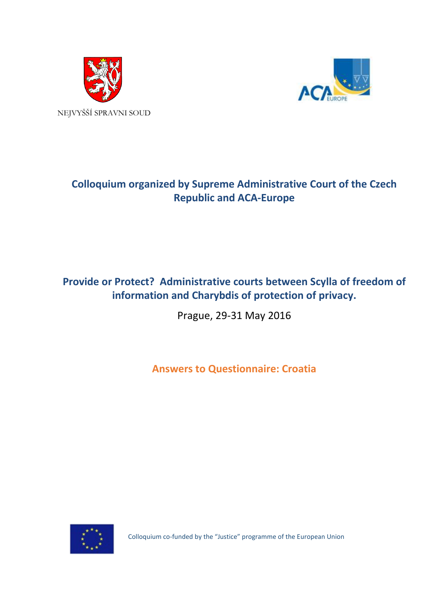



# **Colloquium organized by Supreme Administrative Court of the Czech Republic and ACA-Europe**

## **Provide or Protect? Administrative courts between Scylla of freedom of information and Charybdis of protection of privacy.**

Prague, 29-31 May 2016

**Answers to Questionnaire: Croatia**



Colloquium co-funded by the "Justice" programme of the European Union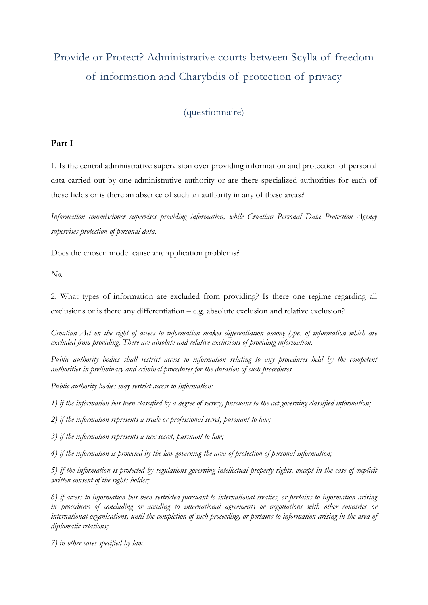# Provide or Protect? Administrative courts between Scylla of freedom of information and Charybdis of protection of privacy

### (questionnaire)

#### **Part I**

1. Is the central administrative supervision over providing information and protection of personal data carried out by one administrative authority or are there specialized authorities for each of these fields or is there an absence of such an authority in any of these areas?

*Information commissioner supervises providing information, while Croatian Personal Data Protection Agency supervises protection of personal data.*

Does the chosen model cause any application problems?

*No.*

2. What types of information are excluded from providing? Is there one regime regarding all exclusions or is there any differentiation  $-$  e.g. absolute exclusion and relative exclusion?

*Croatian Act on the right of access to information makes differentiation among types of information which are excluded from providing. There are absolute and relative exclusions of providing information.*

*Public authority bodies shall restrict access to information relating to any procedures held by the competent authorities in preliminary and criminal procedures for the duration of such procedures.*

*Public authority bodies may restrict access to information:*

*1) if the information has been classified by a degree of secrecy, pursuant to the act governing classified information;*

*2) if the information represents a trade or professional secret, pursuant to law;*

*3) if the information represents a tax secret, pursuant to law;*

*4) if the information is protected by the law governing the area of protection of personal information;*

*5) if the information is protected by regulations governing intellectual property rights, except in the case of explicit written consent of the rights holder;*

*6) if access to information has been restricted pursuant to international treaties, or pertains to information arising in procedures of concluding or acceding to international agreements or negotiations with other countries or international organisations, until the completion of such proceeding, or pertains to information arising in the area of diplomatic relations;*

*7) in other cases specified by law.*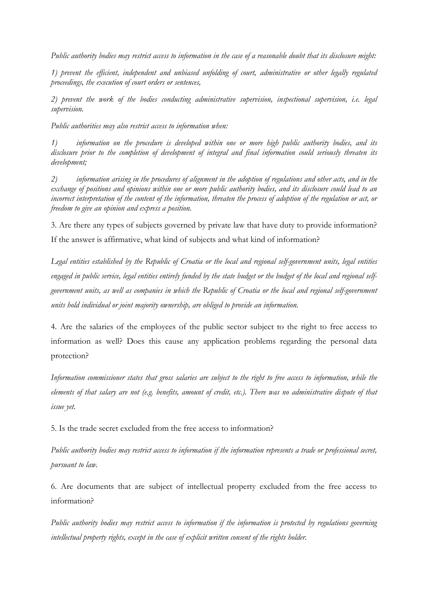*Public authority bodies may restrict access to information in the case of a reasonable doubt that its disclosure might:*

*1) prevent the efficient, independent and unbiased unfolding of court, administrative or other legally regulated proceedings, the execution of court orders or sentences,*

*2) prevent the work of the bodies conducting administrative supervision, inspectional supervision, i.e. legal supervision.*

*Public authorities may also restrict access to information when:*

*1) information on the procedure is developed within one or more high public authority bodies, and its disclosure prior to the completion of development of integral and final information could seriously threaten its development;*

*2) information arising in the procedures of alignment in the adoption of regulations and other acts, and in the exchange of positions and opinions within one or more public authority bodies, and its disclosure could lead to an incorrect interpretation of the content of the information, threaten the process of adoption of the regulation or act, or freedom to give an opinion and express a position.*

3. Are there any types of subjects governed by private law that have duty to provide information? If the answer is affirmative, what kind of subjects and what kind of information?

*Legal entities established by the Republic of Croatia or the local and regional self-government units, legal entities engaged in public service, legal entities entirely funded by the state budget or the budget of the local and regional selfgovernment units, as well as companies in which the Republic of Croatia or the local and regional self-government units hold individual or joint majority ownership, are obliged to provide an information.*

4. Are the salaries of the employees of the public sector subject to the right to free access to information as well? Does this cause any application problems regarding the personal data protection?

*Information commissioner states that gross salaries are subject to the right to free access to information, while the elements of that salary are not (e.g. benefits, amount of credit, etc.). There was no administrative dispute of that issue yet.*

5. Is the trade secret excluded from the free access to information?

*Public authority bodies may restrict access to information if the information represents a trade or professional secret, pursuant to law.*

6. Are documents that are subject of intellectual property excluded from the free access to information?

*Public authority bodies may restrict access to information if the information is protected by regulations governing intellectual property rights, except in the case of explicit written consent of the rights holder.*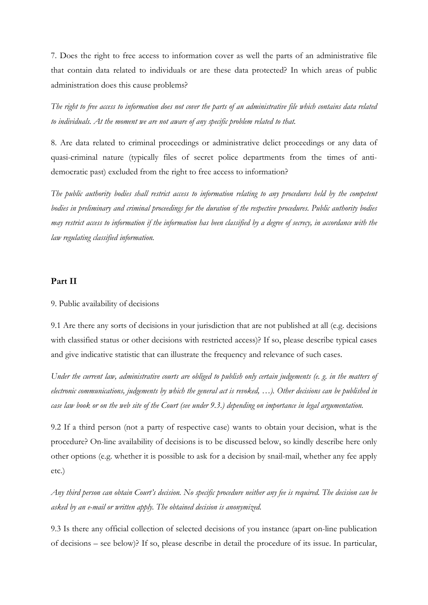7. Does the right to free access to information cover as well the parts of an administrative file that contain data related to individuals or are these data protected? In which areas of public administration does this cause problems?

*The right to free access to information does not cover the parts of an administrative file which contains data related to individuals. At the moment we are not aware of any specific problem related to that.*

8. Are data related to criminal proceedings or administrative delict proceedings or any data of quasi-criminal nature (typically files of secret police departments from the times of antidemocratic past) excluded from the right to free access to information?

*The public authority bodies shall restrict access to information relating to any procedures held by the competent bodies in preliminary and criminal proceedings for the duration of the respective procedures. Public authority bodies may restrict access to information if the information has been classified by a degree of secrecy, in accordance with the law regulating classified information.*

#### **Part II**

#### 9. Public availability of decisions

9.1 Are there any sorts of decisions in your jurisdiction that are not published at all (e.g. decisions with classified status or other decisions with restricted access)? If so, please describe typical cases and give indicative statistic that can illustrate the frequency and relevance of such cases.

*Under the current law, administrative courts are obliged to publish only certain judgements (e. g. in the matters of electronic communications, judgements by which the general act is revoked, …). Other decisions can be published in case law book or on the web site of the Court (see under 9.3.) depending on importance in legal argumentation.*

9.2 If a third person (not a party of respective case) wants to obtain your decision, what is the procedure? On-line availability of decisions is to be discussed below, so kindly describe here only other options (e.g. whether it is possible to ask for a decision by snail-mail, whether any fee apply etc.)

*Any third person can obtain Court's decision. No specific procedure neither any fee is required. The decision can be asked by an e-mail or written apply. The obtained decision is anonymized.*

9.3 Is there any official collection of selected decisions of you instance (apart on-line publication of decisions – see below)? If so, please describe in detail the procedure of its issue. In particular,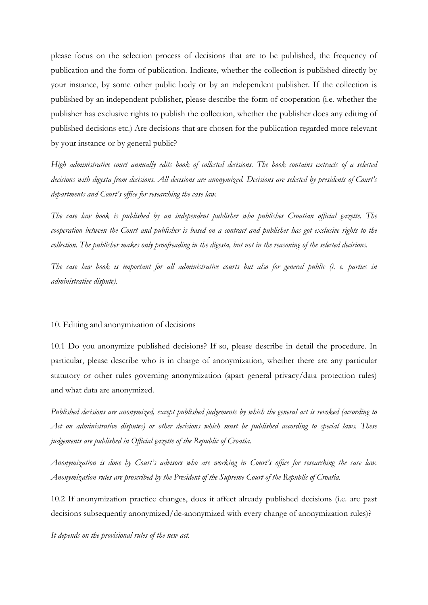please focus on the selection process of decisions that are to be published, the frequency of publication and the form of publication. Indicate, whether the collection is published directly by your instance, by some other public body or by an independent publisher. If the collection is published by an independent publisher, please describe the form of cooperation (i.e. whether the publisher has exclusive rights to publish the collection, whether the publisher does any editing of published decisions etc.) Are decisions that are chosen for the publication regarded more relevant by your instance or by general public?

*High administrative court annually edits book of collected decisions. The book contains extracts of a selected decisions with digesta from decisions. All decisions are anonymized. Decisions are selected by presidents of Court's departments and Court's office for researching the case law.*

*The case law book is published by an independent publisher who publishes Croatian official gazette. The cooperation between the Court and publisher is based on a contract and publisher has got exclusive rights to the collection. The publisher makes only proofreading in the digesta, but not in the reasoning of the selected decisions.*

*The case law book is important for all administrative courts but also for general public (i. e. parties in administrative dispute).*

#### 10. Editing and anonymization of decisions

10.1 Do you anonymize published decisions? If so, please describe in detail the procedure. In particular, please describe who is in charge of anonymization, whether there are any particular statutory or other rules governing anonymization (apart general privacy/data protection rules) and what data are anonymized.

*Published decisions are anonymized, except published judgements by which the general act is revoked (according to Act on administrative disputes) or other decisions which must be published according to special laws. These judgements are published in Official gazette of the Republic of Croatia.*

*Anonymization is done by Court's advisors who are working in Court's office for researching the case law. Anonymization rules are proscribed by the President of the Supreme Court of the Republic of Croatia.*

10.2 If anonymization practice changes, does it affect already published decisions (i.e. are past decisions subsequently anonymized/de-anonymized with every change of anonymization rules)?

*It depends on the provisional rules of the new act.*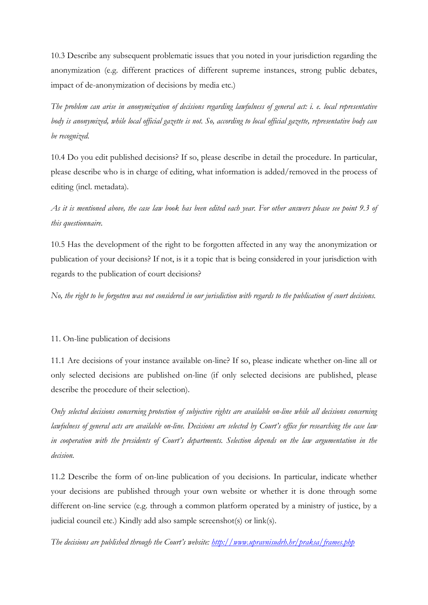10.3 Describe any subsequent problematic issues that you noted in your jurisdiction regarding the anonymization (e.g. different practices of different supreme instances, strong public debates, impact of de-anonymization of decisions by media etc.)

*The problem can arise in anonymization of decisions regarding lawfulness of general act: i. e. local representative body is anonymized, while local official gazette is not. So, according to local official gazette, representative body can be recognized.*

10.4 Do you edit published decisions? If so, please describe in detail the procedure. In particular, please describe who is in charge of editing, what information is added/removed in the process of editing (incl. metadata).

*As it is mentioned above, the case law book has been edited each year. For other answers please see point 9.3 of this questionnaire.*

10.5 Has the development of the right to be forgotten affected in any way the anonymization or publication of your decisions? If not, is it a topic that is being considered in your jurisdiction with regards to the publication of court decisions?

*No, the right to be forgotten was not considered in our jurisdiction with regards to the publication of court decisions.*

#### 11. On-line publication of decisions

11.1 Are decisions of your instance available on-line? If so, please indicate whether on-line all or only selected decisions are published on-line (if only selected decisions are published, please describe the procedure of their selection).

*Only selected decisions concerning protection of subjective rights are available on-line while all decisions concerning lawfulness of general acts are available on-line. Decisions are selected by Court's office for researching the case law in cooperation with the presidents of Court's departments. Selection depends on the law argumentation in the decision.*

11.2 Describe the form of on-line publication of you decisions. In particular, indicate whether your decisions are published through your own website or whether it is done through some different on-line service (e.g. through a common platform operated by a ministry of justice, by a judicial council etc.) Kindly add also sample screenshot(s) or link(s).

*The decisions are published through the Court's website:<http://www.upravnisudrh.hr/praksa/frames.php>*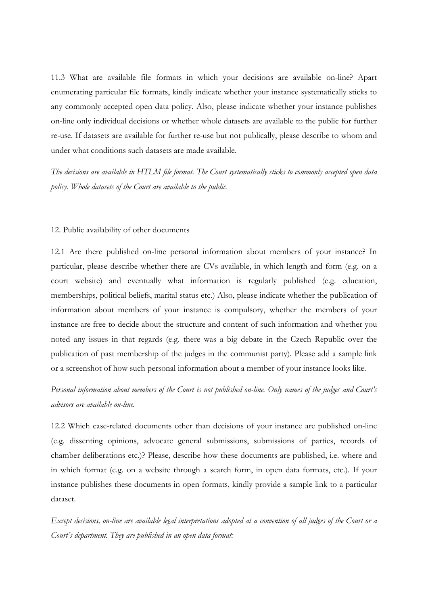11.3 What are available file formats in which your decisions are available on-line? Apart enumerating particular file formats, kindly indicate whether your instance systematically sticks to any commonly accepted open data policy. Also, please indicate whether your instance publishes on-line only individual decisions or whether whole datasets are available to the public for further re-use. If datasets are available for further re-use but not publically, please describe to whom and under what conditions such datasets are made available.

*The decisions are available in HTLM file format. The Court systematically sticks to commonly accepted open data policy. Whole datasets of the Court are available to the public.*

#### 12. Public availability of other documents

12.1 Are there published on-line personal information about members of your instance? In particular, please describe whether there are CVs available, in which length and form (e.g. on a court website) and eventually what information is regularly published (e.g. education, memberships, political beliefs, marital status etc.) Also, please indicate whether the publication of information about members of your instance is compulsory, whether the members of your instance are free to decide about the structure and content of such information and whether you noted any issues in that regards (e.g. there was a big debate in the Czech Republic over the publication of past membership of the judges in the communist party). Please add a sample link or a screenshot of how such personal information about a member of your instance looks like.

## *Personal information about members of the Court is not published on-line. Only names of the judges and Court's advisors are available on-line.*

12.2 Which case-related documents other than decisions of your instance are published on-line (e.g. dissenting opinions, advocate general submissions, submissions of parties, records of chamber deliberations etc.)? Please, describe how these documents are published, i.e. where and in which format (e.g. on a website through a search form, in open data formats, etc.). If your instance publishes these documents in open formats, kindly provide a sample link to a particular dataset.

*Except decisions, on-line are available legal interpretations adopted at a convention of all judges of the Court or a Court's department. They are published in an open data format:*